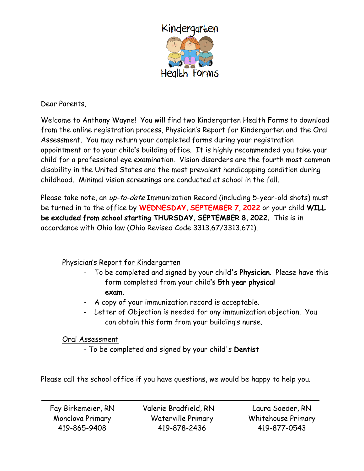

Dear Parents,

Welcome to Anthony Wayne! You will find two Kindergarten Health Forms to download from the online registration process, Physician's Report for Kindergarten and the Oral Assessment. You may return your completed forms during your registration appointment or to your child's building office. It is highly recommended you take your child for a professional eye examination. Vision disorders are the fourth most common disability in the United States and the most prevalent handicapping condition during childhood. Minimal vision screenings are conducted at school in the fall.

Please take note, an up-to-date Immunization Record (including 5-year-old shots) must be turned in to the office by WEDNESDAY, SEPTEMBER 7, 2022 or your child WILL be excluded from school starting THURSDAY, SEPTEMBER 8, 2022. This is in accordance with Ohio law (Ohio Revised Code 3313.67/3313.671).

### Physician's Report for Kindergarten

- To be completed and signed by your child's Physician. Please have this form completed from your child's 5th year physical exam.
- A copy of your immunization record is acceptable.
- Letter of Objection is needed for any immunization objection. You can obtain this form from your building's nurse.

#### Oral Assessment

- To be completed and signed by your child's Dentist

Please call the school office if you have questions, we would be happy to help you.

Fay Birkemeier, RN Monclova Primary 419-865-9408

Valerie Bradfield, RN Waterville Primary 419-878-2436

Laura Soeder, RN Whitehouse Primary 419-877-0543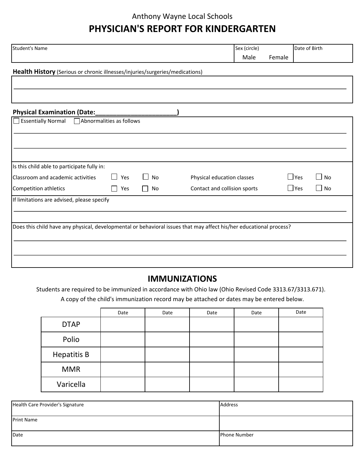### Anthony Wayne Local Schools

# **PHYSICIAN'S REPORT FOR KINDERGARTEN**

| <b>Student's Name</b>                                                        |                          |           | Sex (circle)                                                                                                       |        |            | Date of Birth |  |
|------------------------------------------------------------------------------|--------------------------|-----------|--------------------------------------------------------------------------------------------------------------------|--------|------------|---------------|--|
|                                                                              |                          |           | Male                                                                                                               | Female |            |               |  |
| Health History (Serious or chronic illnesses/injuries/surgeries/medications) |                          |           |                                                                                                                    |        |            |               |  |
|                                                                              |                          |           |                                                                                                                    |        |            |               |  |
|                                                                              |                          |           |                                                                                                                    |        |            |               |  |
|                                                                              |                          |           |                                                                                                                    |        |            |               |  |
|                                                                              |                          |           |                                                                                                                    |        |            |               |  |
| Essentially Normal                                                           | Abnormalities as follows |           |                                                                                                                    |        |            |               |  |
|                                                                              |                          |           |                                                                                                                    |        |            |               |  |
|                                                                              |                          |           |                                                                                                                    |        |            |               |  |
|                                                                              |                          |           |                                                                                                                    |        |            |               |  |
|                                                                              |                          |           |                                                                                                                    |        |            |               |  |
| Is this child able to participate fully in:                                  |                          |           |                                                                                                                    |        |            |               |  |
| Classroom and academic activities                                            | Yes<br>$\perp$           | $\Box$ No | Physical education classes                                                                                         |        | $\Box$ Yes | $\square$ No  |  |
| Competition athletics                                                        | Yes<br>$\perp$           | $\Box$ No | Contact and collision sports                                                                                       |        | $\Box$ Yes | $\Box$ No     |  |
| If limitations are advised, please specify                                   |                          |           |                                                                                                                    |        |            |               |  |
|                                                                              |                          |           |                                                                                                                    |        |            |               |  |
|                                                                              |                          |           |                                                                                                                    |        |            |               |  |
|                                                                              |                          |           | Does this child have any physical, developmental or behavioral issues that may affect his/her educational process? |        |            |               |  |
|                                                                              |                          |           |                                                                                                                    |        |            |               |  |
|                                                                              |                          |           |                                                                                                                    |        |            |               |  |
|                                                                              |                          |           |                                                                                                                    |        |            |               |  |
|                                                                              |                          |           |                                                                                                                    |        |            |               |  |

### **IMMUNIZATIONS**

A copy of the child's immunization record may be attached or dates may be entered below. Students are required to be immunized in accordance with Ohio law (Ohio Revised Code 3313.67/3313.671).

|                    | Date | Date | Date | Date | Date |
|--------------------|------|------|------|------|------|
| <b>DTAP</b>        |      |      |      |      |      |
| Polio              |      |      |      |      |      |
| <b>Hepatitis B</b> |      |      |      |      |      |
| <b>MMR</b>         |      |      |      |      |      |
| Varicella          |      |      |      |      |      |

| Health Care Provider's Signature | Address             |
|----------------------------------|---------------------|
| <b>Print Name</b>                |                     |
| Date                             | <b>Phone Number</b> |